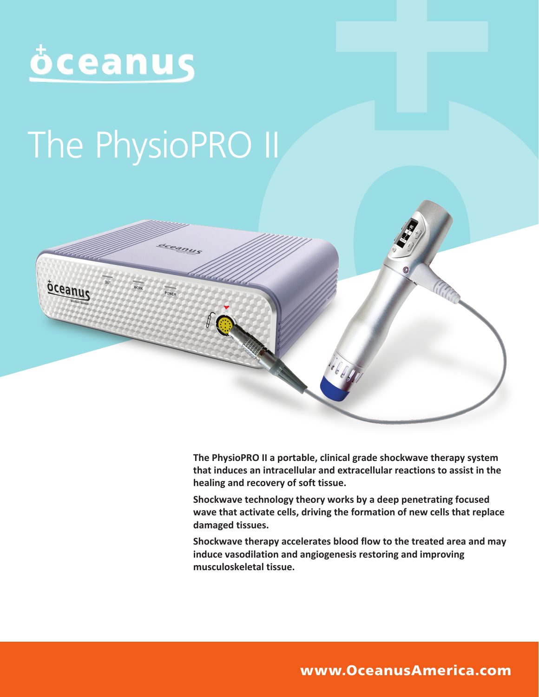

# The PhysioPRO II



**The PhysioPRO II a portable, clinical grade shockwave therapy system that induces an intracellular and extracellular reactions to assist in the healing and recovery of soft tissue.**

**Shockwave technology theory works by a deep penetrating focused wave that activate cells, driving the formation of new cells that replace damaged tissues.** 

**Shockwave therapy accelerates blood flow to the treated area and may induce vasodilation and angiogenesis restoring and improving musculoskeletal tissue.**

www.OceanusAmerica.com